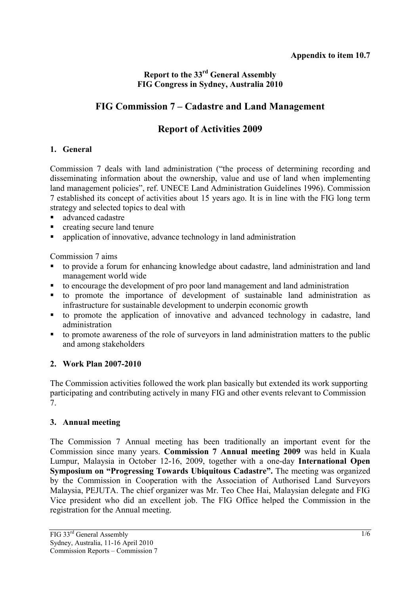## **Report to the 33rd General Assembly FIG Congress in Sydney, Australia 2010**

# **FIG Commission 7 – Cadastre and Land Management**

# **Report of Activities 2009**

## **1. General**

Commission 7 deals with land administration ("the process of determining recording and disseminating information about the ownership, value and use of land when implementing land management policies", ref. UNECE Land Administration Guidelines 1996). Commission 7 established its concept of activities about 15 years ago. It is in line with the FIG long term strategy and selected topics to deal with

- advanced cadastre
- **•** creating secure land tenure
- application of innovative, advance technology in land administration

Commission 7 aims

- to provide a forum for enhancing knowledge about cadastre, land administration and land management world wide
- to encourage the development of pro poor land management and land administration
- to promote the importance of development of sustainable land administration as infrastructure for sustainable development to underpin economic growth
- to promote the application of innovative and advanced technology in cadastre, land administration
- to promote awareness of the role of surveyors in land administration matters to the public and among stakeholders

## **2. Work Plan 2007-2010**

The Commission activities followed the work plan basically but extended its work supporting participating and contributing actively in many FIG and other events relevant to Commission 7.

## **3. Annual meeting**

The Commission 7 Annual meeting has been traditionally an important event for the Commission since many years. **Commission 7 Annual meeting 2009** was held in Kuala Lumpur, Malaysia in October 12-16, 2009, together with a one-day **International Open Symposium on "Progressing Towards Ubiquitous Cadastre".** The meeting was organized by the Commission in Cooperation with the Association of Authorised Land Surveyors Malaysia, PEJUTA. The chief organizer was Mr. Teo Chee Hai, Malaysian delegate and FIG Vice president who did an excellent job. The FIG Office helped the Commission in the registration for the Annual meeting.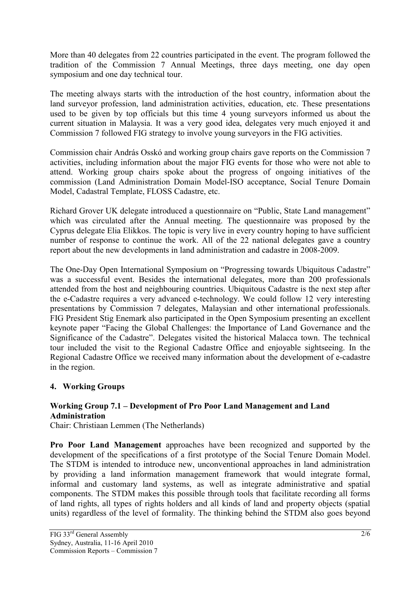More than 40 delegates from 22 countries participated in the event. The program followed the tradition of the Commission 7 Annual Meetings, three days meeting, one day open symposium and one day technical tour.

The meeting always starts with the introduction of the host country, information about the land surveyor profession, land administration activities, education, etc. These presentations used to be given by top officials but this time 4 young surveyors informed us about the current situation in Malaysia. It was a very good idea, delegates very much enjoyed it and Commission 7 followed FIG strategy to involve young surveyors in the FIG activities.

Commission chair András Osskó and working group chairs gave reports on the Commission 7 activities, including information about the major FIG events for those who were not able to attend. Working group chairs spoke about the progress of ongoing initiatives of the commission (Land Administration Domain Model-ISO acceptance, Social Tenure Domain Model, Cadastral Template, FLOSS Cadastre, etc.

Richard Grover UK delegate introduced a questionnaire on "Public, State Land management" which was circulated after the Annual meeting. The questionnaire was proposed by the Cyprus delegate Elia Elikkos. The topic is very live in every country hoping to have sufficient number of response to continue the work. All of the 22 national delegates gave a country report about the new developments in land administration and cadastre in 2008-2009.

The One-Day Open International Symposium on "Progressing towards Ubiquitous Cadastre" was a successful event. Besides the international delegates, more than 200 professionals attended from the host and neighbouring countries. Ubiquitous Cadastre is the next step after the e-Cadastre requires a very advanced e-technology. We could follow 12 very interesting presentations by Commission 7 delegates, Malaysian and other international professionals. FIG President Stig Enemark also participated in the Open Symposium presenting an excellent keynote paper "Facing the Global Challenges: the Importance of Land Governance and the Significance of the Cadastre". Delegates visited the historical Malacca town. The technical tour included the visit to the Regional Cadastre Office and enjoyable sightseeing. In the Regional Cadastre Office we received many information about the development of e-cadastre in the region.

## **4. Working Groups**

#### **Working Group 7.1 – Development of Pro Poor Land Management and Land Administration**

Chair: Christiaan Lemmen (The Netherlands)

**Pro Poor Land Management** approaches have been recognized and supported by the development of the specifications of a first prototype of the Social Tenure Domain Model. The STDM is intended to introduce new, unconventional approaches in land administration by providing a land information management framework that would integrate formal, informal and customary land systems, as well as integrate administrative and spatial components. The STDM makes this possible through tools that facilitate recording all forms of land rights, all types of rights holders and all kinds of land and property objects (spatial units) regardless of the level of formality. The thinking behind the STDM also goes beyond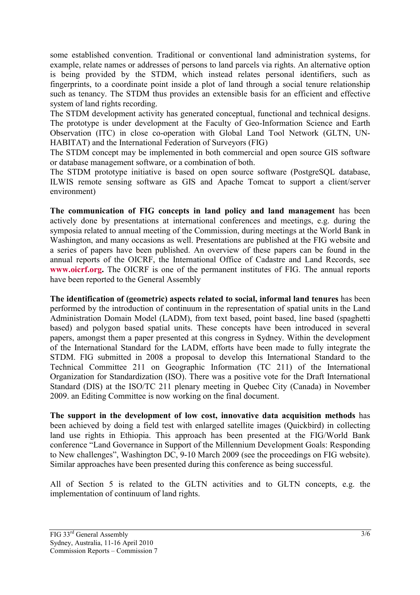some established convention. Traditional or conventional land administration systems, for example, relate names or addresses of persons to land parcels via rights. An alternative option is being provided by the STDM, which instead relates personal identifiers, such as fingerprints, to a coordinate point inside a plot of land through a social tenure relationship such as tenancy. The STDM thus provides an extensible basis for an efficient and effective system of land rights recording.

The STDM development activity has generated conceptual, functional and technical designs. The prototype is under development at the Faculty of Geo-Information Science and Earth Observation (ITC) in close co-operation with Global Land Tool Network (GLTN, UN-HABITAT) and the International Federation of Surveyors (FIG)

The STDM concept may be implemented in both commercial and open source GIS software or database management software, or a combination of both.

The STDM prototype initiative is based on open source software (PostgreSQL database, ILWIS remote sensing software as GIS and Apache Tomcat to support a client/server environment)

**The communication of FIG concepts in land policy and land management** has been actively done by presentations at international conferences and meetings, e.g. during the symposia related to annual meeting of the Commission, during meetings at the World Bank in Washington, and many occasions as well. Presentations are published at the FIG website and a series of papers have been published. An overview of these papers can be found in the annual reports of the OICRF, the International Office of Cadastre and Land Records, see **www.oicrf.org.** The OICRF is one of the permanent institutes of FIG. The annual reports have been reported to the General Assembly

**The identification of (geometric) aspects related to social, informal land tenures** has been performed by the introduction of continuum in the representation of spatial units in the Land Administration Domain Model (LADM), from text based, point based, line based (spaghetti based) and polygon based spatial units. These concepts have been introduced in several papers, amongst them a paper presented at this congress in Sydney. Within the development of the International Standard for the LADM, efforts have been made to fully integrate the STDM. FIG submitted in 2008 a proposal to develop this International Standard to the Technical Committee 211 on Geographic Information (TC 211) of the International Organization for Standardization (ISO). There was a positive vote for the Draft International Standard (DIS) at the ISO/TC 211 plenary meeting in Quebec City (Canada) in November 2009. an Editing Committee is now working on the final document.

**The support in the development of low cost, innovative data acquisition methods** has been achieved by doing a field test with enlarged satellite images (Quickbird) in collecting land use rights in Ethiopia. This approach has been presented at the FIG/World Bank conference "Land Governance in Support of the Millennium Development Goals: Responding to New challenges", Washington DC, 9-10 March 2009 (see the proceedings on FIG website). Similar approaches have been presented during this conference as being successful.

All of Section 5 is related to the GLTN activities and to GLTN concepts, e.g. the implementation of continuum of land rights.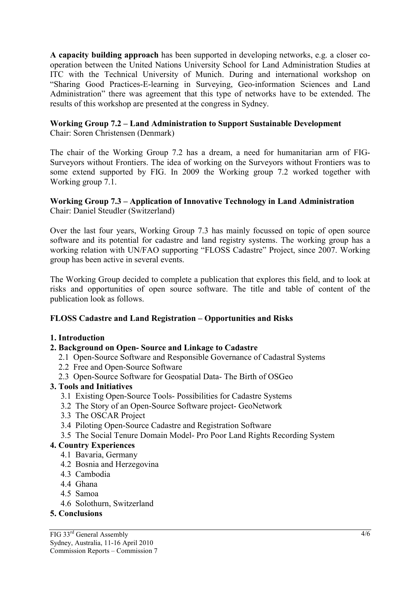**A capacity building approach** has been supported in developing networks, e.g. a closer cooperation between the United Nations University School for Land Administration Studies at ITC with the Technical University of Munich. During and international workshop on "Sharing Good Practices-E-learning in Surveying, Geo-information Sciences and Land Administration" there was agreement that this type of networks have to be extended. The results of this workshop are presented at the congress in Sydney.

## **Working Group 7.2 – Land Administration to Support Sustainable Development**

Chair: Soren Christensen (Denmark)

The chair of the Working Group 7.2 has a dream, a need for humanitarian arm of FIG-Surveyors without Frontiers. The idea of working on the Surveyors without Frontiers was to some extend supported by FIG. In 2009 the Working group 7.2 worked together with Working group 7.1.

#### **Working Group 7.3 – Application of Innovative Technology in Land Administration**  Chair: Daniel Steudler (Switzerland)

Over the last four years, Working Group 7.3 has mainly focussed on topic of open source software and its potential for cadastre and land registry systems. The working group has a working relation with UN/FAO supporting "FLOSS Cadastre" Project, since 2007. Working group has been active in several events.

The Working Group decided to complete a publication that explores this field, and to look at risks and opportunities of open source software. The title and table of content of the publication look as follows.

#### **FLOSS Cadastre and Land Registration – Opportunities and Risks**

#### **1. Introduction**

#### **2. Background on Open- Source and Linkage to Cadastre**

- 2.1 Open-Source Software and Responsible Governance of Cadastral Systems
- 2.2 Free and Open-Source Software
- 2.3 Open-Source Software for Geospatial Data- The Birth of OSGeo

#### **3. Tools and Initiatives**

- 3.1 Existing Open-Source Tools- Possibilities for Cadastre Systems
- 3.2 The Story of an Open-Source Software project- GeoNetwork
- 3.3 The OSCAR Project
- 3.4 Piloting Open-Source Cadastre and Registration Software
- 3.5 The Social Tenure Domain Model- Pro Poor Land Rights Recording System

#### **4. Country Experiences**

- 4.1 Bavaria, Germany
- 4.2 Bosnia and Herzegovina
- 4.3 Cambodia
- 4.4 Ghana
- 4.5 Samoa
- 4.6 Solothurn, Switzerland

#### **5. Conclusions**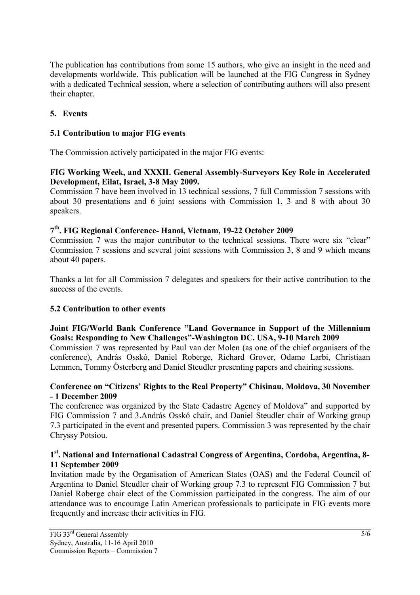The publication has contributions from some 15 authors, who give an insight in the need and developments worldwide. This publication will be launched at the FIG Congress in Sydney with a dedicated Technical session, where a selection of contributing authors will also present their chapter.

## **5. Events**

## **5.1 Contribution to major FIG events**

The Commission actively participated in the major FIG events:

#### **FIG Working Week, and XXXII. General Assembly-Surveyors Key Role in Accelerated Development, Eilat, Israel, 3-8 May 2009.**

Commission 7 have been involved in 13 technical sessions, 7 full Commission 7 sessions with about 30 presentations and 6 joint sessions with Commission 1, 3 and 8 with about 30 speakers.

## **7th. FIG Regional Conference- Hanoi, Vietnam, 19-22 October 2009**

Commission 7 was the major contributor to the technical sessions. There were six "clear" Commission 7 sessions and several joint sessions with Commission 3, 8 and 9 which means about 40 papers.

Thanks a lot for all Commission 7 delegates and speakers for their active contribution to the success of the events.

## **5.2 Contribution to other events**

#### **Joint FIG/World Bank Conference "Land Governance in Support of the Millennium Goals: Responding to New Challenges"-Washington DC. USA, 9-10 March 2009**

Commission 7 was represented by Paul van der Molen (as one of the chief organisers of the conference), András Osskó, Daniel Roberge, Richard Grover, Odame Larbi, Christiaan Lemmen, Tommy Österberg and Daniel Steudler presenting papers and chairing sessions.

#### **Conference on "Citizens' Rights to the Real Property" Chisinau, Moldova, 30 November - 1 December 2009**

The conference was organized by the State Cadastre Agency of Moldova" and supported by FIG Commission 7 and 3.András Osskó chair, and Daniel Steudler chair of Working group 7.3 participated in the event and presented papers. Commission 3 was represented by the chair Chryssy Potsiou.

#### **1st. National and International Cadastral Congress of Argentina, Cordoba, Argentina, 8- 11 September 2009**

Invitation made by the Organisation of American States (OAS) and the Federal Council of Argentina to Daniel Steudler chair of Working group 7.3 to represent FIG Commission 7 but Daniel Roberge chair elect of the Commission participated in the congress. The aim of our attendance was to encourage Latin American professionals to participate in FIG events more frequently and increase their activities in FIG.